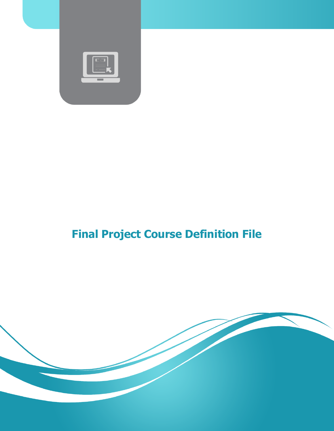

# **Final Project Course Definition File**

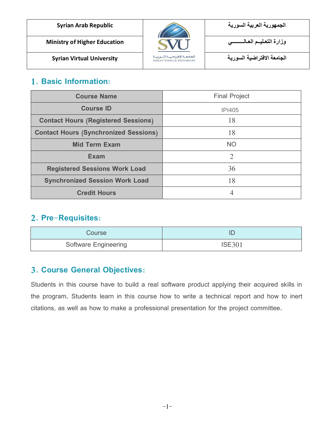| <b>Syrian Arab Republic</b>         |                                                                | الجمهورية العربية السورية  |
|-------------------------------------|----------------------------------------------------------------|----------------------------|
| <b>Ministry of Higher Education</b> |                                                                | وزارة التعليـم العـالـ     |
| <b>Syrian Virtual University</b>    | الجامعة الإفتراضية السورية<br><b>SYRIAN VIRTUAL UNIVERSITY</b> | الحامعة الافتراضية السورية |

#### **1. Basic Information:**

| <b>Course Name</b>                           | <b>Final Project</b> |
|----------------------------------------------|----------------------|
| <b>Course ID</b>                             | <b>IPI405</b>        |
| <b>Contact Hours (Registered Sessions)</b>   | 18                   |
| <b>Contact Hours (Synchronized Sessions)</b> | 18                   |
| <b>Mid Term Exam</b>                         | <b>NO</b>            |
| <b>Exam</b>                                  | $\overline{2}$       |
| <b>Registered Sessions Work Load</b>         | 36                   |
| <b>Synchronized Session Work Load</b>        | 18                   |
| <b>Credit Hours</b>                          | 4                    |

#### **2. Pre-Requisites:**

| Course                      |               |  |
|-----------------------------|---------------|--|
| <b>Software Engineering</b> | <b>ISE301</b> |  |

#### **3. Course General Objectives:**

Students in this course have to build a real software product applying their acquired skills in the program. Students learn in this course how to write a technical report and how to inert citations, as well as how to make a professional presentation for the project committee.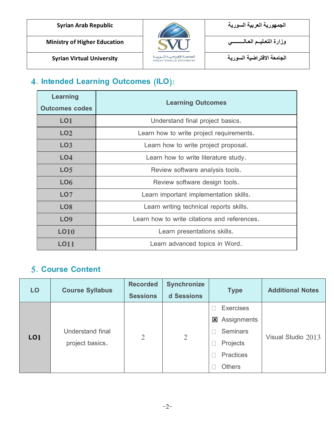**الجامعة االفتراضية السورية University Virtual Syrian**



**الجمهورية العربية السورية Republic Arab Syrian**

### **4. Intended Learning Outcomes (ILO):**

| Learning<br><b>Outcomes codes</b> | <b>Learning Outcomes</b>                     |  |
|-----------------------------------|----------------------------------------------|--|
| LO1                               | Understand final project basics.             |  |
| LO <sub>2</sub>                   | Learn how to write project requirements.     |  |
| LO <sub>3</sub>                   | Learn how to write project proposal.         |  |
| L <sub>O</sub> 4                  | Learn how to write literature study.         |  |
| LO <sub>5</sub>                   | Review software analysis tools.              |  |
| LO <sub>6</sub>                   | Review software design tools.                |  |
| LO <sub>7</sub>                   | Learn important implementation skills.       |  |
| LO <sub>8</sub>                   | Learn writing technical reports skills.      |  |
| <b>LO9</b>                        | Learn how to write citations and references. |  |
| <b>LO10</b>                       | Learn presentations skills.                  |  |
| LO11                              | Learn advanced topics in Word.               |  |

#### **5. Course Content**

| LO                                                     | <b>Course Syllabus</b> | <b>Recorded</b> | <b>Synchronize</b> | <b>Type</b>        | <b>Additional Notes</b> |  |
|--------------------------------------------------------|------------------------|-----------------|--------------------|--------------------|-------------------------|--|
|                                                        |                        | <b>Sessions</b> | d Sessions         |                    |                         |  |
|                                                        |                        |                 |                    | <b>Exercises</b>   |                         |  |
| Understand final<br>LO <sub>1</sub><br>project basics. | $\overline{2}$         | $\overline{2}$  | Assignments<br>図   | Visual Studio 2013 |                         |  |
|                                                        |                        |                 | <b>Seminars</b>    |                    |                         |  |
|                                                        |                        |                 |                    | Projects           |                         |  |
|                                                        |                        |                 |                    | <b>Practices</b>   |                         |  |
|                                                        |                        |                 |                    | <b>Others</b>      |                         |  |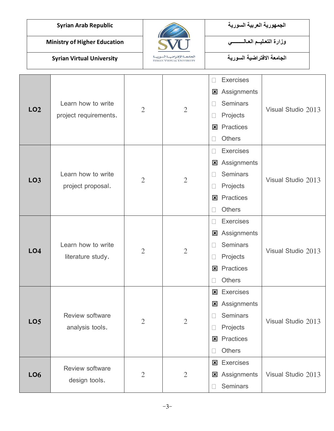

| LO <sub>2</sub>                    | Learn how to write<br>project requirements.                                        | $\overline{2}$                   | $\overline{2}$                   | <b>Exercises</b><br>$\mathbf{I}$<br>Assignments<br>⊠<br><b>Seminars</b><br>Projects<br>Practices<br>図<br><b>Others</b>                                                     | Visual Studio 2013                       |
|------------------------------------|------------------------------------------------------------------------------------|----------------------------------|----------------------------------|----------------------------------------------------------------------------------------------------------------------------------------------------------------------------|------------------------------------------|
| LO <sub>3</sub><br>LO <sub>4</sub> | Learn how to write<br>project proposal.<br>Learn how to write<br>literature study. | $\overline{2}$<br>$\overline{2}$ | $\overline{2}$<br>$\overline{2}$ | <b>Exercises</b><br>Assignments<br>図<br><b>Seminars</b><br>Projects<br>Practices<br>図<br>Others<br><b>Exercises</b><br><b>E</b> Assignments<br><b>Seminars</b><br>Projects | Visual Studio 2013<br>Visual Studio 2013 |
|                                    |                                                                                    |                                  |                                  | Practices<br>図<br><b>Others</b>                                                                                                                                            |                                          |
| LO <sub>5</sub>                    | Review software<br>analysis tools.                                                 | $\mathfrak{2}$                   | $\overline{2}$                   | <b>Exercises</b><br>図<br>Assignments<br>⊠<br><b>Seminars</b><br>Projects<br><b>E</b> Practices<br><b>Others</b>                                                            | Visual Studio 2013                       |
| LO <sub>6</sub>                    | Review software<br>design tools.                                                   | $\overline{2}$                   | $\overline{2}$                   | <b>Exercises</b><br><b>E</b> Assignments<br>Seminars<br>Ш                                                                                                                  | Visual Studio 2013                       |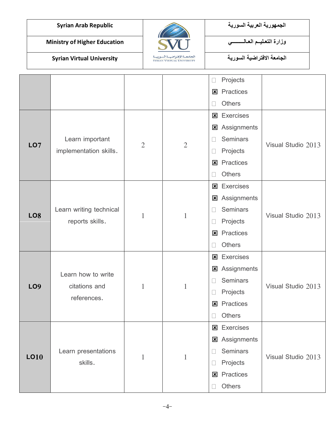

| Projects<br>Practices<br>図<br><b>Others</b><br><b>Exercises</b><br>図<br>Assignments<br>⊠<br><b>Seminars</b><br>Learn important<br>Visual Studio 2013<br>LO <sub>7</sub><br>$\overline{2}$<br>$\overline{2}$<br>implementation skills.<br>Projects<br>u<br>Practices<br>図<br><b>Others</b><br><b>Exercises</b><br>図<br>Assignments<br>図<br><b>Seminars</b><br>Learn writing technical<br>Ш<br>Visual Studio 2013<br>LO <sub>8</sub><br>$\mathbf{1}$<br>$\mathbf{1}$<br>reports skills.<br>Projects<br>Practices<br>図 |
|---------------------------------------------------------------------------------------------------------------------------------------------------------------------------------------------------------------------------------------------------------------------------------------------------------------------------------------------------------------------------------------------------------------------------------------------------------------------------------------------------------------------|
|                                                                                                                                                                                                                                                                                                                                                                                                                                                                                                                     |
|                                                                                                                                                                                                                                                                                                                                                                                                                                                                                                                     |
|                                                                                                                                                                                                                                                                                                                                                                                                                                                                                                                     |
|                                                                                                                                                                                                                                                                                                                                                                                                                                                                                                                     |
|                                                                                                                                                                                                                                                                                                                                                                                                                                                                                                                     |
|                                                                                                                                                                                                                                                                                                                                                                                                                                                                                                                     |
|                                                                                                                                                                                                                                                                                                                                                                                                                                                                                                                     |
|                                                                                                                                                                                                                                                                                                                                                                                                                                                                                                                     |
|                                                                                                                                                                                                                                                                                                                                                                                                                                                                                                                     |
|                                                                                                                                                                                                                                                                                                                                                                                                                                                                                                                     |
|                                                                                                                                                                                                                                                                                                                                                                                                                                                                                                                     |
|                                                                                                                                                                                                                                                                                                                                                                                                                                                                                                                     |
|                                                                                                                                                                                                                                                                                                                                                                                                                                                                                                                     |
|                                                                                                                                                                                                                                                                                                                                                                                                                                                                                                                     |
| <b>Others</b>                                                                                                                                                                                                                                                                                                                                                                                                                                                                                                       |
| <b>Exercises</b><br>$\mathbf{x}$                                                                                                                                                                                                                                                                                                                                                                                                                                                                                    |
| Assignments<br>図                                                                                                                                                                                                                                                                                                                                                                                                                                                                                                    |
| Learn how to write<br><b>Seminars</b>                                                                                                                                                                                                                                                                                                                                                                                                                                                                               |
| Visual Studio 2013<br><b>LO9</b><br>citations and<br>$\mathbf{1}$<br>$\mathbf{1}$<br>Projects                                                                                                                                                                                                                                                                                                                                                                                                                       |
| references.<br>Practices<br>⊠                                                                                                                                                                                                                                                                                                                                                                                                                                                                                       |
| Others<br>$\Box$                                                                                                                                                                                                                                                                                                                                                                                                                                                                                                    |
|                                                                                                                                                                                                                                                                                                                                                                                                                                                                                                                     |
| <b>x</b> Exercises                                                                                                                                                                                                                                                                                                                                                                                                                                                                                                  |
| <b>x</b> Assignments                                                                                                                                                                                                                                                                                                                                                                                                                                                                                                |
| Learn presentations<br><b>Seminars</b>                                                                                                                                                                                                                                                                                                                                                                                                                                                                              |
| LO10<br>Visual Studio 2013<br>$\mathbf{1}$<br>1<br>skills.<br>Projects                                                                                                                                                                                                                                                                                                                                                                                                                                              |
| <b>x</b> Practices                                                                                                                                                                                                                                                                                                                                                                                                                                                                                                  |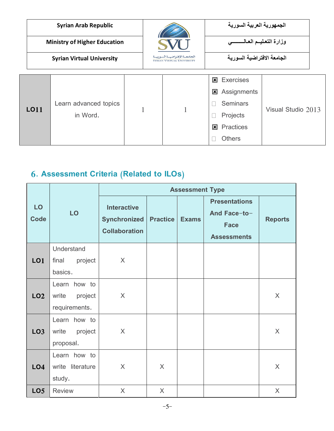| <b>Syrian Arab Republic</b> |                                                                                                    |                                     | الجمهورية العربية السورية  |                                                                                                                        |                    |  |
|-----------------------------|----------------------------------------------------------------------------------------------------|-------------------------------------|----------------------------|------------------------------------------------------------------------------------------------------------------------|--------------------|--|
|                             |                                                                                                    | <b>Ministry of Higher Education</b> |                            | وزارة التعليم العالمسسى                                                                                                |                    |  |
|                             | الجامعة الإفتراضية السورية<br><b>Syrian Virtual University</b><br><b>SYRIAN VIRTUAL UNIVERSITY</b> |                                     | الجامعة الافتراضية السورية |                                                                                                                        |                    |  |
|                             | <b>LO11</b>                                                                                        | Learn advanced topics<br>in Word.   |                            | <b>Exercises</b><br>$\mathbf x$<br>図<br>Assignments<br><b>Seminars</b><br>Projects<br><b>Practices</b><br>$\mathbf{x}$ | Visual Studio 2013 |  |
|                             |                                                                                                    |                                     |                            | <b>Others</b>                                                                                                          |                    |  |

## **6. Assessment Criteria (Related to ILOs)**

|                   |                  | <b>Assessment Type</b>                                            |                 |              |                                                                           |                |
|-------------------|------------------|-------------------------------------------------------------------|-----------------|--------------|---------------------------------------------------------------------------|----------------|
| LO<br><b>Code</b> | LO               | <b>Interactive</b><br><b>Synchronized</b><br><b>Collaboration</b> | <b>Practice</b> | <b>Exams</b> | <b>Presentations</b><br>And Face-to-<br><b>Face</b><br><b>Assessments</b> | <b>Reports</b> |
|                   | Understand       |                                                                   |                 |              |                                                                           |                |
| <b>LO1</b>        | project<br>final | $\times$                                                          |                 |              |                                                                           |                |
|                   | basics.          |                                                                   |                 |              |                                                                           |                |
|                   | Learn how to     |                                                                   |                 |              |                                                                           |                |
| LO <sub>2</sub>   | project<br>write | $\times$                                                          |                 |              |                                                                           | $\sf X$        |
|                   | requirements.    |                                                                   |                 |              |                                                                           |                |
|                   | Learn how to     |                                                                   |                 |              |                                                                           |                |
| LO <sub>3</sub>   | write<br>project | $\times$                                                          |                 |              |                                                                           | X              |
|                   | proposal.        |                                                                   |                 |              |                                                                           |                |
|                   | Learn how to     |                                                                   |                 |              |                                                                           |                |
| L <sub>O</sub> 4  | write literature | X                                                                 | $\times$        |              |                                                                           | $\mathsf{X}$   |
|                   | study.           |                                                                   |                 |              |                                                                           |                |
| LO <sub>5</sub>   | <b>Review</b>    | X                                                                 | X               |              |                                                                           | $\times$       |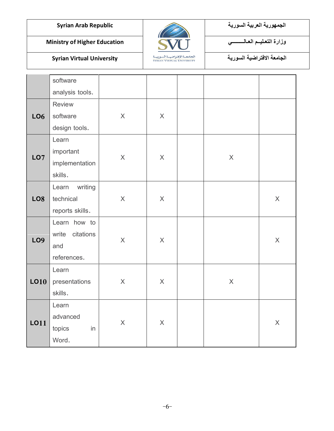

**الجمهورية العربية السورية Republic Arab Syrian**

**الجامعة االفتراضية السورية University Virtual Syrian**

| software           |                           |                                    |                                 |             |              |
|--------------------|---------------------------|------------------------------------|---------------------------------|-------------|--------------|
| analysis tools.    |                           |                                    |                                 |             |              |
| <b>Review</b>      |                           |                                    |                                 |             |              |
| software           | $\times$                  | $\mathsf{X}$                       |                                 |             |              |
| design tools.      |                           |                                    |                                 |             |              |
| Learn              |                           |                                    |                                 |             |              |
| important          |                           |                                    |                                 |             |              |
| implementation     |                           |                                    |                                 |             |              |
| skills.            |                           |                                    |                                 |             |              |
| writing<br>Learn   |                           |                                    |                                 |             |              |
| technical          | $\mathsf X$               | $\times$                           |                                 |             | $\mathsf{X}$ |
| reports skills.    |                           |                                    |                                 |             |              |
| Learn how to       |                           |                                    |                                 |             |              |
| write<br>citations |                           |                                    |                                 |             |              |
| and                |                           |                                    |                                 |             | $\mathsf{X}$ |
| references.        |                           |                                    |                                 |             |              |
| Learn              |                           |                                    |                                 |             |              |
| presentations      | $\boldsymbol{\mathsf{X}}$ | $\times$                           |                                 | $\mathsf X$ |              |
| skills.            |                           |                                    |                                 |             |              |
| Learn              |                           |                                    |                                 |             |              |
| advanced           |                           |                                    |                                 |             |              |
| topics<br>in       |                           |                                    |                                 |             | $\mathsf{X}$ |
| Word.              |                           |                                    |                                 |             |              |
|                    |                           | $\mathsf X$<br>$\times$<br>$\sf X$ | $\sf X$<br>$\times$<br>$\times$ |             | $\mathsf X$  |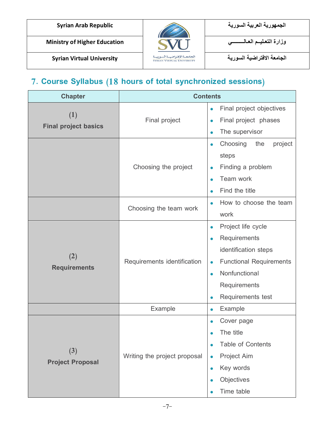

**الجامعة االفتراضية السورية University Virtual Syrian**



### **7. Course Syllabus (18 hours of total synchronized sessions)**

| <b>Chapter</b>                     | <b>Contents</b>                                                                                                                                                              |                                                                                                                                                                                                                     |  |  |  |
|------------------------------------|------------------------------------------------------------------------------------------------------------------------------------------------------------------------------|---------------------------------------------------------------------------------------------------------------------------------------------------------------------------------------------------------------------|--|--|--|
| (1)<br><b>Final project basics</b> | Final project                                                                                                                                                                | Final project objectives<br>$\bullet$<br>Final project phases<br>The supervisor<br>$\bullet$                                                                                                                        |  |  |  |
|                                    | Choosing the project                                                                                                                                                         | Choosing<br>the<br>project<br>$\bullet$<br>steps<br>Finding a problem<br>$\bullet$<br>Team work<br>Find the title                                                                                                   |  |  |  |
|                                    | Choosing the team work                                                                                                                                                       | How to choose the team<br>$\bullet$<br>work                                                                                                                                                                         |  |  |  |
| (2)<br><b>Requirements</b>         | Requirements identification                                                                                                                                                  | Project life cycle<br>$\bullet$<br>Requirements<br>$\bullet$<br>identification steps<br><b>Functional Requirements</b><br>$\bullet$<br>Nonfunctional<br>$\bullet$<br>Requirements<br>Requirements test<br>$\bullet$ |  |  |  |
|                                    | Example                                                                                                                                                                      | Example<br>$\bullet$                                                                                                                                                                                                |  |  |  |
| (3)<br><b>Project Proposal</b>     | Cover page<br>The title<br><b>Table of Contents</b><br>Writing the project proposal<br><b>Project Aim</b><br>$\bullet$<br>Key words<br>$\bullet$<br>Objectives<br>Time table |                                                                                                                                                                                                                     |  |  |  |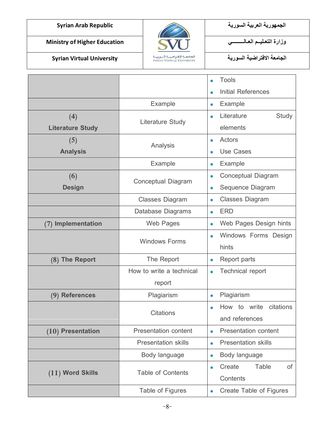**الجامعة االفتراضية السورية University Virtual Syrian**



**الجمهورية العربية السورية Republic Arab Syrian**

|                         |                             | <b>Tools</b>                                   |
|-------------------------|-----------------------------|------------------------------------------------|
|                         |                             | <b>Initial References</b>                      |
|                         | Example                     | Example<br>$\bullet$                           |
| (4)                     |                             | Literature<br>Study<br>$\bullet$               |
| <b>Literature Study</b> | <b>Literature Study</b>     | elements                                       |
| (5)                     | Analysis                    | Actors<br>$\bullet$                            |
| <b>Analysis</b>         |                             | <b>Use Cases</b><br>$\bullet$                  |
|                         | Example                     | <b>Example</b><br>$\bullet$                    |
| (6)                     | Conceptual Diagram          | Conceptual Diagram<br>$\bullet$                |
| <b>Design</b>           |                             | Sequence Diagram<br>$\bullet$                  |
|                         | <b>Classes Diagram</b>      | <b>Classes Diagram</b><br>$\bullet$            |
|                         | Database Diagrams           | <b>ERD</b><br>$\bullet$                        |
| (7) Implementation      | Web Pages                   | Web Pages Design hints<br>$\bullet$            |
|                         | <b>Windows Forms</b>        | Windows Forms Design<br>$\bullet$              |
|                         |                             | hints                                          |
| (8) The Report          | The Report                  | Report parts<br>$\bullet$                      |
|                         | How to write a technical    | <b>Technical report</b><br>$\bullet$           |
|                         | report                      |                                                |
| (9) References          | Plagiarism                  | Plagiarism<br>$\bullet$                        |
|                         | <b>Citations</b>            | How to write<br>citations<br>$\bullet$         |
|                         |                             | and references                                 |
| $(10)$ Presentation     | <b>Presentation content</b> | <b>Presentation content</b><br>$\bullet$       |
|                         | <b>Presentation skills</b>  | <b>Presentation skills</b><br>$\bullet$        |
|                         | Body language               | Body language<br>$\bullet$                     |
| $(11)$ Word Skills      | Table of Contents           | Table<br>Create<br>0f<br>$\bullet$<br>Contents |
|                         | Table of Figures            | Create Table of Figures<br>$\bullet$           |
|                         |                             |                                                |